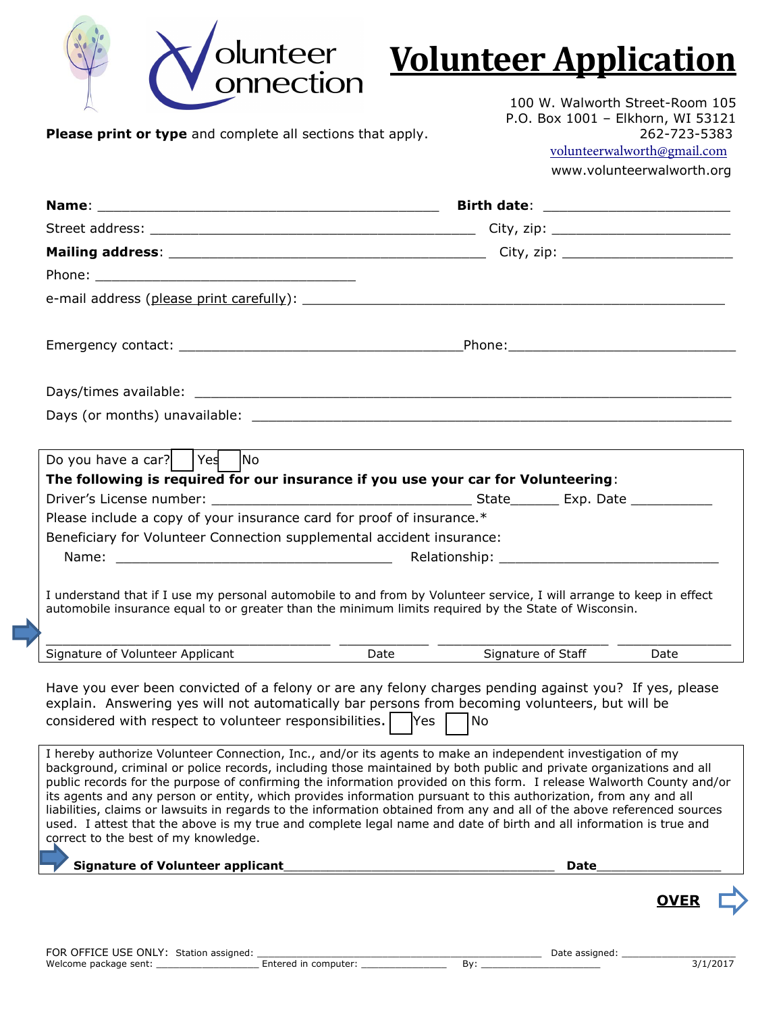

## **Volunteer Application**

**Please print or type** and complete all sections that apply. 262-723-5383

100 W. Walworth Street-Room 105 P.O. Box 1001 – Elkhorn, WI 53121 [volunteerwalworth@gmail.com](mailto:volunteerwalworth@gmail.com) www.volunteerwalworth.org

| Do you have a car?   $\left  \begin{array}{cc} \n\text{Yes} \\ \end{array} \right $ No                                                                                                                                                                                                                             |                                                                                                                                                                                                                                                                                                                                                                                                                                                                                                                                                                                                                                                                                                                                 |  |  |  |  |  |
|--------------------------------------------------------------------------------------------------------------------------------------------------------------------------------------------------------------------------------------------------------------------------------------------------------------------|---------------------------------------------------------------------------------------------------------------------------------------------------------------------------------------------------------------------------------------------------------------------------------------------------------------------------------------------------------------------------------------------------------------------------------------------------------------------------------------------------------------------------------------------------------------------------------------------------------------------------------------------------------------------------------------------------------------------------------|--|--|--|--|--|
| The following is required for our insurance if you use your car for Volunteering:                                                                                                                                                                                                                                  |                                                                                                                                                                                                                                                                                                                                                                                                                                                                                                                                                                                                                                                                                                                                 |  |  |  |  |  |
|                                                                                                                                                                                                                                                                                                                    |                                                                                                                                                                                                                                                                                                                                                                                                                                                                                                                                                                                                                                                                                                                                 |  |  |  |  |  |
| Please include a copy of your insurance card for proof of insurance.*                                                                                                                                                                                                                                              |                                                                                                                                                                                                                                                                                                                                                                                                                                                                                                                                                                                                                                                                                                                                 |  |  |  |  |  |
| Beneficiary for Volunteer Connection supplemental accident insurance:                                                                                                                                                                                                                                              |                                                                                                                                                                                                                                                                                                                                                                                                                                                                                                                                                                                                                                                                                                                                 |  |  |  |  |  |
|                                                                                                                                                                                                                                                                                                                    |                                                                                                                                                                                                                                                                                                                                                                                                                                                                                                                                                                                                                                                                                                                                 |  |  |  |  |  |
| automobile insurance equal to or greater than the minimum limits required by the State of Wisconsin.                                                                                                                                                                                                               | I understand that if I use my personal automobile to and from by Volunteer service, I will arrange to keep in effect                                                                                                                                                                                                                                                                                                                                                                                                                                                                                                                                                                                                            |  |  |  |  |  |
| Signature of Volunteer Applicant                                                                                                                                                                                                                                                                                   | Date<br>Signature of Staff<br>Date                                                                                                                                                                                                                                                                                                                                                                                                                                                                                                                                                                                                                                                                                              |  |  |  |  |  |
| Have you ever been convicted of a felony or are any felony charges pending against you? If yes, please<br>explain. Answering yes will not automatically bar persons from becoming volunteers, but will be<br>considered with respect to volunteer responsibilities. $\vert \quad \vert$ Yes $\vert \quad \vert$ No |                                                                                                                                                                                                                                                                                                                                                                                                                                                                                                                                                                                                                                                                                                                                 |  |  |  |  |  |
| correct to the best of my knowledge.                                                                                                                                                                                                                                                                               | I hereby authorize Volunteer Connection, Inc., and/or its agents to make an independent investigation of my<br>background, criminal or police records, including those maintained by both public and private organizations and all<br>public records for the purpose of confirming the information provided on this form. I release Walworth County and/or<br>its agents and any person or entity, which provides information pursuant to this authorization, from any and all<br>liabilities, claims or lawsuits in regards to the information obtained from any and all of the above referenced sources<br>used. I attest that the above is my true and complete legal name and date of birth and all information is true and |  |  |  |  |  |
| <b>Signature of Volunteer applicant</b>                                                                                                                                                                                                                                                                            | <b>Date</b>                                                                                                                                                                                                                                                                                                                                                                                                                                                                                                                                                                                                                                                                                                                     |  |  |  |  |  |
|                                                                                                                                                                                                                                                                                                                    | <b>OVER</b>                                                                                                                                                                                                                                                                                                                                                                                                                                                                                                                                                                                                                                                                                                                     |  |  |  |  |  |